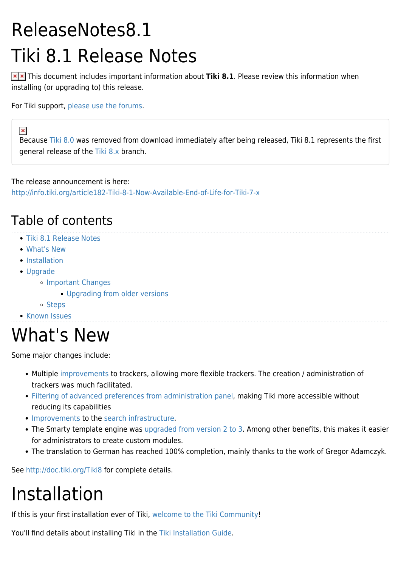# ReleaseNotes8.1 Tiki 8.1 Release Notes

**x** x This document includes important information about Tiki 8.1. Please review this information when installing (or upgrading to) this release.

For Tiki support, [please use the forums](http://tiki.org/forums).

Because [Tiki 8.0](https://tiki.org/ReleaseNotes8.0) was removed from download immediately after being released, Tiki 8.1 represents the first general release of the [Tiki 8.x](http://dev.tiki.org/Tiki8) branch.

The release announcement is here:

<http://info.tiki.org/article182-Tiki-8-1-Now-Available-End-of-Life-for-Tiki-7-x>

#### Table of contents

- [Tiki 8.1 Release Notes](#Tiki_8.1_Release_Notes)
- [What's New](#page--1-0)
- [Installation](#page--1-0)
- [Upgrade](#page--1-0)

 $\pmb{\times}$ 

- o [Important Changes](#page--1-0)
	- **[Upgrading from older versions](#page--1-0)**
- o [Steps](#page--1-0)
- **[Known Issues](#page--1-0)**

### What's New

Some major changes include:

- Multiple [improvements](http://doc.tiki.org/Tiki8#Tracker_improvements) to trackers, allowing more flexible trackers. The creation / administration of trackers was much facilitated.
- [Filtering of advanced preferences from administration panel](http://doc.tiki.org/Tiki8#Admin_panels_-_filtering_basic_and_advanced_preferences), making Tiki more accessible without reducing its capabilities
- [Improvements](http://doc.tiki.org/Tiki8#Search_enhancements) to the [search infrastructure.](http://dev.tiki.org/Unified+Search)
- The Smarty template engine was [upgraded from version 2 to 3](http://doc.tiki.org/Tiki8#Smarty_3). Among other benefits, this makes it easier for administrators to create custom modules.
- The translation to German has reached 100% completion, mainly thanks to the work of Gregor Adamczyk.

See <http://doc.tiki.org/Tiki8>for complete details.

# Installation

If this is your first installation ever of Tiki, [welcome to the Tiki Community!](https://tiki.org/Tiki-Welcome)

You'll find details about installing Tiki in the [Tiki Installation Guide](http://doc.tiki.org/Tiki%20Installation%20Guide).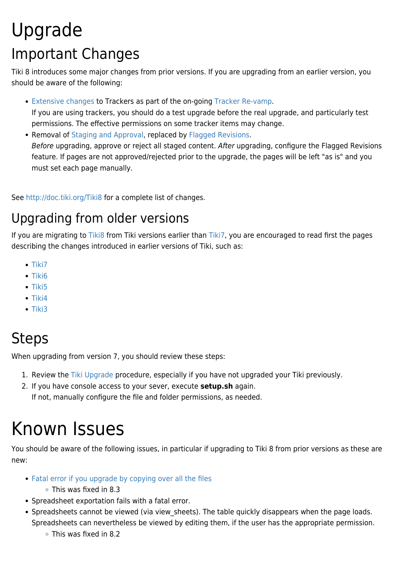### Upgrade Important Changes

Tiki 8 introduces some major changes from prior versions. If you are upgrading from an earlier version, you should be aware of the following:

[Extensive changes](http://doc.tiki.org/Tiki8#Tracker_improvements) to Trackers as part of the on-going [Tracker Re-vamp.](http://dev.tiki.org/tracker+roadmap)

If you are using trackers, you should do a test upgrade before the real upgrade, and particularly test permissions. The effective permissions on some tracker items may change.

• Removal of [Staging and Approval](http://doc.tiki.org/Tiki8#Staging_amp_Approval_Removed), replaced by [Flagged Revisions](http://doc.tiki.org/Flagged+Revisions). Before upgrading, approve or reject all staged content. After upgrading, configure the Flagged Revisions feature. If pages are not approved/rejected prior to the upgrade, the pages will be left "as is" and you must set each page manually.

See <http://doc.tiki.org/Tiki8>for a complete list of changes.

#### Upgrading from older versions

If you are migrating to [Tiki8](http://doc.tiki.org/Tiki8) from Tiki versions earlier than [Tiki7,](http://doc.tiki.org/Tiki7) you are encouraged to read first the pages describing the changes introduced in earlier versions of Tiki, such as:

- $\bullet$  [Tiki7](http://doc.tiki.org/Tiki7)
- $\bullet$  [Tiki6](http://doc.tiki.org/Tiki6)
- $\bullet$  [Tiki5](http://doc.tiki.org/Tiki5)
- $\bullet$  [Tiki4](http://doc.tiki.org/Tiki4)
- $\bullet$  [Tiki3](http://doc.tiki.org/Tiki3)

### Steps

When upgrading from version 7, you should review these steps:

- 1. Review the [Tiki Upgrade](http://doc.tiki.org/Upgrade&structure=Tiki+Installation+Guide) procedure, especially if you have not upgraded your Tiki previously.
- 2. If you have console access to your sever, execute **setup.sh** again. If not, manually configure the file and folder permissions, as needed.

## Known Issues

You should be aware of the following issues, in particular if upgrading to Tiki 8 from prior versions as these are new:

- [Fatal error if you upgrade by copying over all the files](https://tiki.org/tiki-view_forum_thread.php?forumId=6&comments_parentId=42797#threadId42801)
	- This was fixed in 8.3
- Spreadsheet exportation fails with a fatal error.
- Spreadsheets cannot be viewed (via view sheets). The table quickly disappears when the page loads. Spreadsheets can nevertheless be viewed by editing them, if the user has the appropriate permission.
	- $\circ$  This was fixed in 8.2